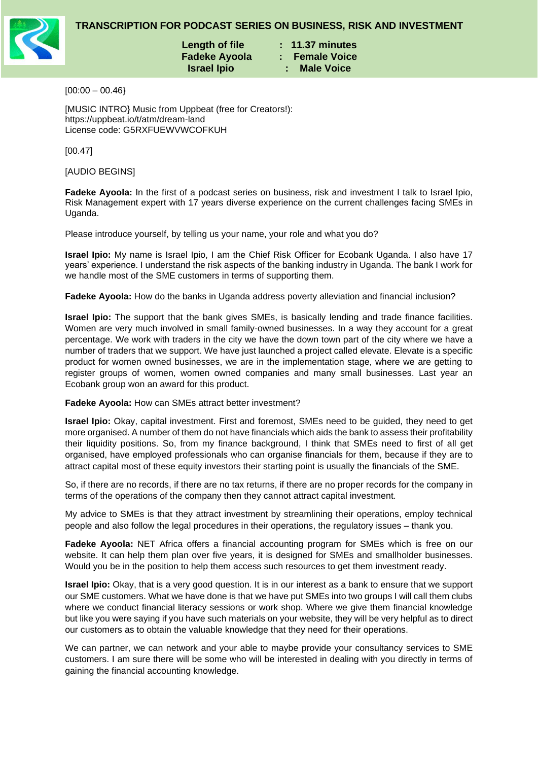

## **TRANSCRIPTION FOR PODCAST SERIES ON BUSINESS, RISK AND INVESTMENT**

**Length of file : 11.37 minutes Fadeke Ayoola : Female Voice**

**Israel Ipio : Male Voice**

 $[00:00 - 00.46]$ 

[MUSIC INTRO} Music from Uppbeat (free for Creators!): https://uppbeat.io/t/atm/dream-land License code: G5RXFUEWVWCOFKUH

[00.47]

[AUDIO BEGINS]

Fadeke Ayoola: In the first of a podcast series on business, risk and investment I talk to Israel Ipio, Risk Management expert with 17 years diverse experience on the current challenges facing SMEs in Uganda.

Please introduce yourself, by telling us your name, your role and what you do?

**Israel Ipio:** My name is Israel Ipio, I am the Chief Risk Officer for Ecobank Uganda. I also have 17 years' experience. I understand the risk aspects of the banking industry in Uganda. The bank I work for we handle most of the SME customers in terms of supporting them.

**Fadeke Ayoola:** How do the banks in Uganda address poverty alleviation and financial inclusion?

**Israel Ipio:** The support that the bank gives SMEs, is basically lending and trade finance facilities. Women are very much involved in small family-owned businesses. In a way they account for a great percentage. We work with traders in the city we have the down town part of the city where we have a number of traders that we support. We have just launched a project called elevate. Elevate is a specific product for women owned businesses, we are in the implementation stage, where we are getting to register groups of women, women owned companies and many small businesses. Last year an Ecobank group won an award for this product.

**Fadeke Ayoola:** How can SMEs attract better investment?

**Israel Ipio:** Okay, capital investment. First and foremost, SMEs need to be guided, they need to get more organised. A number of them do not have financials which aids the bank to assess their profitability their liquidity positions. So, from my finance background, I think that SMEs need to first of all get organised, have employed professionals who can organise financials for them, because if they are to attract capital most of these equity investors their starting point is usually the financials of the SME.

So, if there are no records, if there are no tax returns, if there are no proper records for the company in terms of the operations of the company then they cannot attract capital investment.

My advice to SMEs is that they attract investment by streamlining their operations, employ technical people and also follow the legal procedures in their operations, the regulatory issues – thank you.

**Fadeke Ayoola:** NET Africa offers a financial accounting program for SMEs which is free on our website. It can help them plan over five years, it is designed for SMEs and smallholder businesses. Would you be in the position to help them access such resources to get them investment ready.

**Israel Ipio:** Okay, that is a very good question. It is in our interest as a bank to ensure that we support our SME customers. What we have done is that we have put SMEs into two groups I will call them clubs where we conduct financial literacy sessions or work shop. Where we give them financial knowledge but like you were saying if you have such materials on your website, they will be very helpful as to direct our customers as to obtain the valuable knowledge that they need for their operations.

We can partner, we can network and your able to maybe provide your consultancy services to SME customers. I am sure there will be some who will be interested in dealing with you directly in terms of gaining the financial accounting knowledge.